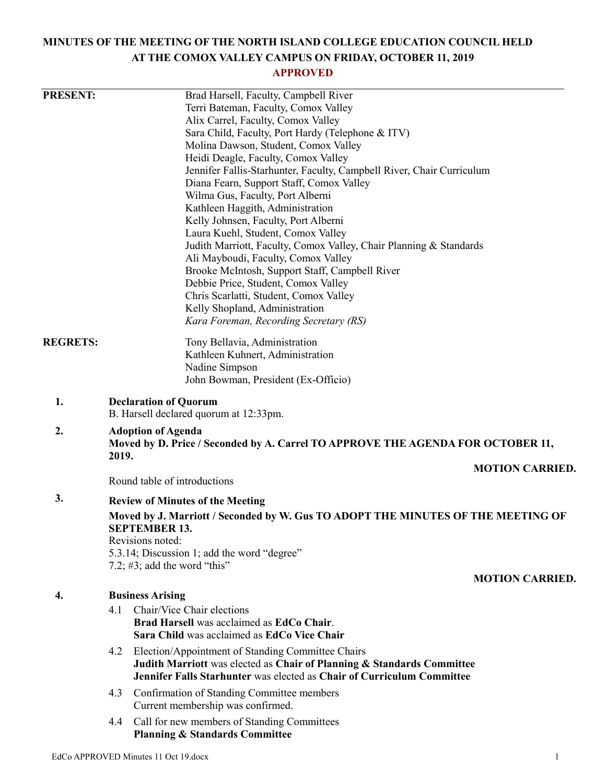# **MINUTES OF THE MEETING OF THE NORTH ISLAND COLLEGE EDUCATION COUNCIL HELD AT THE COMOX VALLEY CAMPUS ON FRIDAY, OCTOBER 11, 2019**

# **APPROVED**

| <b>PRESENT:</b> |                                                                                                              | Brad Harsell, Faculty, Campbell River                                         |                        |  |
|-----------------|--------------------------------------------------------------------------------------------------------------|-------------------------------------------------------------------------------|------------------------|--|
|                 |                                                                                                              | Terri Bateman, Faculty, Comox Valley                                          |                        |  |
|                 |                                                                                                              | Alix Carrel, Faculty, Comox Valley                                            |                        |  |
|                 |                                                                                                              | Sara Child, Faculty, Port Hardy (Telephone & ITV)                             |                        |  |
|                 |                                                                                                              | Molina Dawson, Student, Comox Valley                                          |                        |  |
|                 |                                                                                                              | Heidi Deagle, Faculty, Comox Valley                                           |                        |  |
|                 |                                                                                                              | Jennifer Fallis-Starhunter, Faculty, Campbell River, Chair Curriculum         |                        |  |
|                 |                                                                                                              | Diana Fearn, Support Staff, Comox Valley                                      |                        |  |
|                 |                                                                                                              | Wilma Gus, Faculty, Port Alberni                                              |                        |  |
|                 |                                                                                                              | Kathleen Haggith, Administration                                              |                        |  |
|                 |                                                                                                              | Kelly Johnsen, Faculty, Port Alberni<br>Laura Kuehl, Student, Comox Valley    |                        |  |
|                 |                                                                                                              | Judith Marriott, Faculty, Comox Valley, Chair Planning & Standards            |                        |  |
|                 |                                                                                                              | Ali Mayboudi, Faculty, Comox Valley                                           |                        |  |
|                 |                                                                                                              | Brooke McIntosh, Support Staff, Campbell River                                |                        |  |
|                 |                                                                                                              | Debbie Price, Student, Comox Valley                                           |                        |  |
|                 |                                                                                                              | Chris Scarlatti, Student, Comox Valley                                        |                        |  |
|                 |                                                                                                              | Kelly Shopland, Administration                                                |                        |  |
|                 |                                                                                                              | Kara Foreman, Recording Secretary (RS)                                        |                        |  |
| <b>REGRETS:</b> |                                                                                                              | Tony Bellavia, Administration                                                 |                        |  |
|                 |                                                                                                              | Kathleen Kuhnert, Administration                                              |                        |  |
|                 |                                                                                                              | Nadine Simpson                                                                |                        |  |
|                 |                                                                                                              | John Bowman, President (Ex-Officio)                                           |                        |  |
| 1.              | <b>Declaration of Quorum</b>                                                                                 |                                                                               |                        |  |
|                 | B. Harsell declared quorum at 12:33pm.                                                                       |                                                                               |                        |  |
| 2.              | <b>Adoption of Agenda</b><br>Moved by D. Price / Seconded by A. Carrel TO APPROVE THE AGENDA FOR OCTOBER 11, |                                                                               |                        |  |
|                 | 2019.<br><b>MOTION CARRIED.</b>                                                                              |                                                                               |                        |  |
|                 | Round table of introductions                                                                                 |                                                                               |                        |  |
| 3.              | <b>Review of Minutes of the Meeting</b>                                                                      |                                                                               |                        |  |
|                 | Moved by J. Marriott / Seconded by W. Gus TO ADOPT THE MINUTES OF THE MEETING OF<br><b>SEPTEMBER 13.</b>     |                                                                               |                        |  |
|                 | Revisions noted:                                                                                             |                                                                               |                        |  |
|                 |                                                                                                              | 5.3.14; Discussion 1; add the word "degree"                                   |                        |  |
|                 | 7.2; $#3$ ; add the word "this"                                                                              |                                                                               | <b>MOTION CARRIED.</b> |  |
| 4.              | <b>Business Arising</b>                                                                                      |                                                                               |                        |  |
|                 | 4.1                                                                                                          | Chair/Vice Chair elections                                                    |                        |  |
|                 |                                                                                                              | Brad Harsell was acclaimed as EdCo Chair.                                     |                        |  |
|                 |                                                                                                              | Sara Child was acclaimed as EdCo Vice Chair                                   |                        |  |
|                 | 4.2                                                                                                          | Election/Appointment of Standing Committee Chairs                             |                        |  |
|                 |                                                                                                              | Judith Marriott was elected as Chair of Planning & Standards Committee        |                        |  |
|                 |                                                                                                              | <b>Jennifer Falls Starhunter was elected as Chair of Curriculum Committee</b> |                        |  |
|                 | 4.3                                                                                                          | Confirmation of Standing Committee members                                    |                        |  |
|                 |                                                                                                              | Current membership was confirmed.                                             |                        |  |
|                 | 4.4                                                                                                          | Call for new members of Standing Committees                                   |                        |  |
|                 |                                                                                                              | <b>Planning &amp; Standards Committee</b>                                     |                        |  |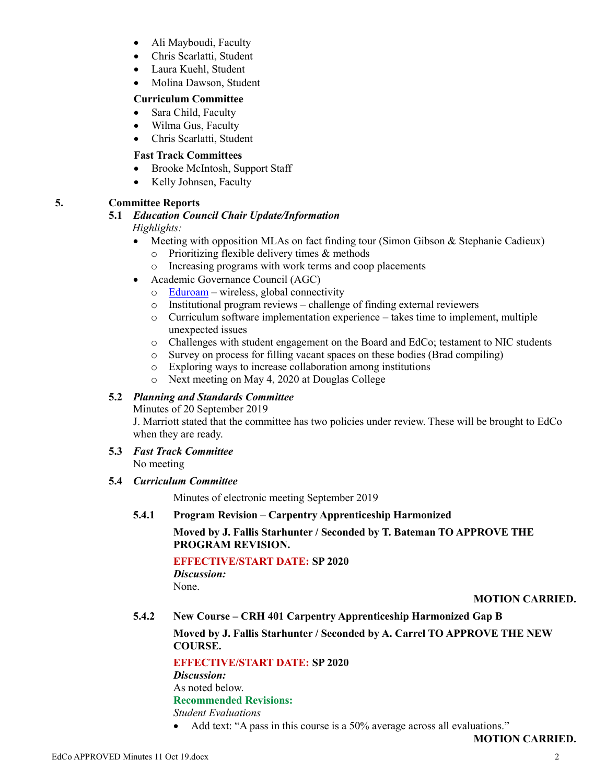- Ali Mayboudi, Faculty
- Chris Scarlatti, Student
- Laura Kuehl, Student
- Molina Dawson, Student

#### **Curriculum Committee**

- Sara Child, Faculty
- Wilma Gus, Faculty
- Chris Scarlatti, Student

## **Fast Track Committees**

- Brooke McIntosh, Support Staff
- Kelly Johnsen, Faculty

## **5. Committee Reports**

# **5.1** *Education Council Chair Update/Information*

## *Highlights:*

- Meeting with opposition MLAs on fact finding tour (Simon Gibson & Stephanie Cadieux)
	- o Prioritizing flexible delivery times & methods
	- o Increasing programs with work terms and coop placements
- Academic Governance Council (AGC)
	- $\circ$  [Eduroam](https://www.eduroam.org/) wireless, global connectivity
	- o Institutional program reviews challenge of finding external reviewers
	- $\circ$  Curriculum software implementation experience takes time to implement, multiple unexpected issues
	- o Challenges with student engagement on the Board and EdCo; testament to NIC students
	- o Survey on process for filling vacant spaces on these bodies (Brad compiling)
	- o Exploring ways to increase collaboration among institutions
	- o Next meeting on May 4, 2020 at Douglas College

## **5.2** *Planning and Standards Committee*

Minutes of 20 September 2019

J. Marriott stated that the committee has two policies under review. These will be brought to EdCo when they are ready.

**5.3** *Fast Track Committee* No meeting

#### **5.4** *Curriculum Committee*

Minutes of electronic meeting September 2019

**5.4.1 Program Revision – Carpentry Apprenticeship Harmonized**

## **Moved by J. Fallis Starhunter / Seconded by T. Bateman TO APPROVE THE PROGRAM REVISION.**

**EFFECTIVE/START DATE: SP 2020**

*Discussion:* None.

## **MOTION CARRIED.**

**5.4.2 New Course – CRH 401 Carpentry Apprenticeship Harmonized Gap B**

**Moved by J. Fallis Starhunter / Seconded by A. Carrel TO APPROVE THE NEW COURSE.**

## **EFFECTIVE/START DATE: SP 2020**

*Discussion:*

As noted below.

## **Recommended Revisions:**

*Student Evaluations*

• Add text: "A pass in this course is a 50% average across all evaluations."

**MOTION CARRIED.**